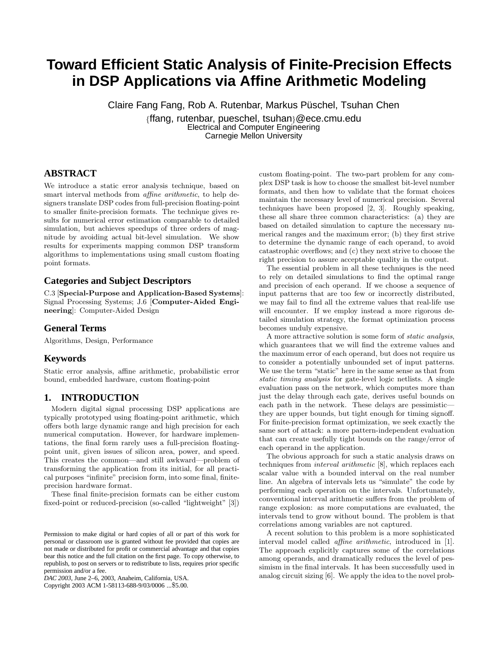# **Toward Efficient Static Analysis of Finite-Precision Effects in DSP Applications via Affine Arithmetic Modeling**

Claire Fang Fang, Rob A. Rutenbar, Markus Püschel, Tsuhan Chen

{ffang, rutenbar, pueschel, tsuhan}@ece.cmu.edu Electrical and Computer Engineering Carnegie Mellon University

# **ABSTRACT**

We introduce a static error analysis technique, based on smart interval methods from *affine arithmetic*, to help designers translate DSP codes from full-precision floating-point to smaller finite-precision formats. The technique gives results for numerical error estimation comparable to detailed simulation, but achieves speedups of three orders of magnitude by avoiding actual bit-level simulation. We show results for experiments mapping common DSP transform algorithms to implementations using small custom floating point formats.

## **Categories and Subject Descriptors**

C.3 [Special-Purpose and Application-Based Systems]: Signal Processing Systems; J.6 [Computer-Aided Engineering]: Computer-Aided Design

## **General Terms**

Algorithms, Design, Performance

## **Keywords**

Static error analysis, affine arithmetic, probabilistic error bound, embedded hardware, custom floating-point

## **1. INTRODUCTION**

Modern digital signal processing DSP applications are typically prototyped using floating-point arithmetic, which offers both large dynamic range and high precision for each numerical computation. However, for hardware implementations, the final form rarely uses a full-precision floatingpoint unit, given issues of silicon area, power, and speed. This creates the common—and still awkward—problem of transforming the application from its initial, for all practical purposes "infinite" precision form, into some final, finiteprecision hardware format.

These final finite-precision formats can be either custom fixed-point or reduced-precision (so-called "lightweight" [3])

Copyright 2003 ACM 1-58113-688-9/03/0006 ...\$5.00.

custom floating-point. The two-part problem for any complex DSP task is how to choose the smallest bit-level number formats, and then how to validate that the format choices maintain the necessary level of numerical precision. Several techniques have been proposed [2, 3]. Roughly speaking, these all share three common characteristics: (a) they are based on detailed simulation to capture the necessary numerical ranges and the maximum error; (b) they first strive to determine the dynamic range of each operand, to avoid catastrophic overflows; and (c) they next strive to choose the right precision to assure acceptable quality in the output.

The essential problem in all these techniques is the need to rely on detailed simulations to find the optimal range and precision of each operand. If we choose a sequence of input patterns that are too few or incorrectly distributed, we may fail to find all the extreme values that real-life use will encounter. If we employ instead a more rigorous detailed simulation strategy, the format optimization process becomes unduly expensive.

A more attractive solution is some form of static analysis, which guarantees that we will find the extreme values and the maximum error of each operand, but does not require us to consider a potentially unbounded set of input patterns. We use the term "static" here in the same sense as that from static timing analysis for gate-level logic netlists. A single evaluation pass on the network, which computes more than just the delay through each gate, derives useful bounds on each path in the network. These delays are pessimisticthey are upper bounds, but tight enough for timing signoff. For finite-precision format optimization, we seek exactly the same sort of attack: a more pattern-independent evaluation that can create usefully tight bounds on the range/error of each operand in the application.

The obvious approach for such a static analysis draws on techniques from interval arithmetic [8], which replaces each scalar value with a bounded interval on the real number line. An algebra of intervals lets us "simulate" the code by performing each operation on the intervals. Unfortunately, conventional interval arithmetic suffers from the problem of range explosion: as more computations are evaluated, the intervals tend to grow without bound. The problem is that correlations among variables are not captured.

A recent solution to this problem is a more sophisticated interval model called affine arithmetic, introduced in [1]. The approach explicitly captures some of the correlations among operands, and dramatically reduces the level of pessimism in the final intervals. It has been successfully used in analog circuit sizing [6]. We apply the idea to the novel prob-

Permission to make digital or hard copies of all or part of this work for personal or classroom use is granted without fee provided that copies are not made or distributed for profit or commercial advantage and that copies bear this notice and the full citation on the first page. To copy otherwise, to republish, to post on servers or to redistribute to lists, requires prior specific permission and/or a fee.

*DAC 2003,* June 2–6, 2003, Anaheim, California, USA.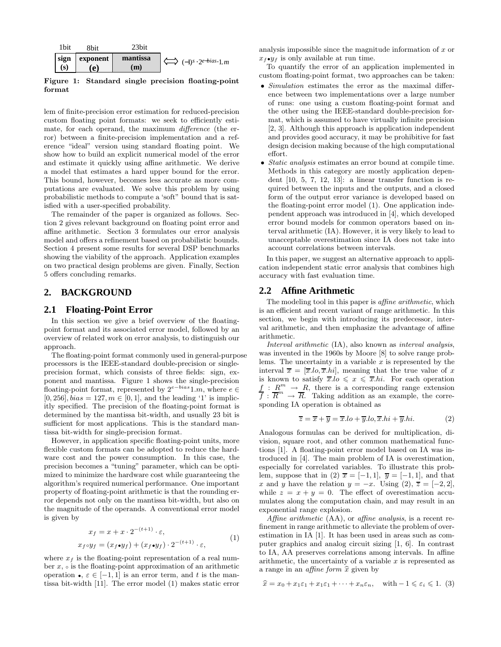

Figure 1: Standard single precision floating-point format

lem of finite-precision error estimation for reduced-precision custom floating point formats: we seek to efficiently estimate, for each operand, the maximum difference (the error) between a finite-precision implementation and a reference "ideal" version using standard floating point. We show how to build an explicit numerical model of the error and estimate it quickly using affine arithmetic. We derive a model that estimates a hard upper bound for the error. This bound, however, becomes less accurate as more computations are evaluated. We solve this problem by using probabilistic methods to compute a 'soft" bound that is satisfied with a user-specified probability.

The remainder of the paper is organized as follows. Section 2 gives relevant background on floating point error and affine arithmetic. Section 3 formulates our error analysis model and offers a refinement based on probabilistic bounds. Section 4 present some results for several DSP benchmarks showing the viability of the approach. Application examples on two practical design problems are given. Finally, Section 5 offers concluding remarks.

## **2. BACKGROUND**

## **2.1 Floating-Point Error**

In this section we give a brief overview of the floatingpoint format and its associated error model, followed by an overview of related work on error analysis, to distinguish our approach.

The floating-point format commonly used in general-purpose processors is the IEEE-standard double-precision or singleprecision format, which consists of three fields: sign, exponent and mantissa. Figure 1 shows the single-precision floating-point format, represented by  $2^{e-bias}1.m$ , where  $e \in$ [0, 256],  $bias = 127, m \in [0, 1]$ , and the leading '1' is implicitly specified. The precision of the floating-point format is determined by the mantissa bit-width, and usually 23 bit is sufficient for most applications. This is the standard mantissa bit-width for single-precision format.

However, in application specific floating-point units, more flexible custom formats can be adopted to reduce the hardware cost and the power consumption. In this case, the precision becomes a "tuning" parameter, which can be optimized to minimize the hardware cost while guaranteeing the algorithm's required numerical performance. One important property of floating-point arithmetic is that the rounding error depends not only on the mantissa bit-width, but also on the magnitude of the operands. A conventional error model is given by

$$
x_f = x + x \cdot 2^{-(t+1)} \cdot \varepsilon,
$$
  
\n
$$
x_f \circ y_f = (x_f \bullet y_f) + (x_f \bullet y_f) \cdot 2^{-(t+1)} \cdot \varepsilon,
$$
\n(1)

where  $x_f$  is the floating-point representation of a real number  $x$ ,  $\circ$  is the floating-point approximation of an arithmetic operation •,  $\varepsilon \in [-1, 1]$  is an error term, and t is the mantissa bit-width [11]. The error model (1) makes static error analysis impossible since the magnitude information of x or  $x_f \cdot y_f$  is only available at run time.

To quantify the error of an application implemented in custom floating-point format, two approaches can be taken:

- Simulation estimates the error as the maximal difference between two implementations over a large number of runs: one using a custom floating-point format and the other using the IEEE-standard double-precision format, which is assumed to have virtually infinite precision [2, 3]. Although this approach is application independent and provides good accuracy, it may be prohibitive for fast design decision making because of the high computational effort.
- *Static analysis* estimates an error bound at compile time. Methods in this category are mostly application dependent  $[10, 5, 7, 12, 13]$ : a linear transfer function is required between the inputs and the outputs, and a closed form of the output error variance is developed based on the floating-point error model (1). One application independent approach was introduced in [4], which developed error bound models for common operators based on interval arithmetic (IA). However, it is very likely to lead to unacceptable overestimation since IA does not take into account correlations between intervals.

In this paper, we suggest an alternative approach to application independent static error analysis that combines high accuracy with fast evaluation time.

#### **2.2 Affine Arithmetic**

The modeling tool in this paper is *affine arithmetic*, which is an efficient and recent variant of range arithmetic. In this section, we begin with introducing its predecessor, interval arithmetic, and then emphasize the advantage of affine arithmetic.

Interval arithmetic (IA), also known as interval analysis, was invented in the 1960s by Moore [8] to solve range problems. The uncertainty in a variable  $x$  is represented by the interval  $\overline{x} = [\overline{x}.lo, \overline{x}.hi]$ , meaning that the true value of x is known to satisfy  $\overline{x}.lo \le x \le \overline{x}.hi$ . For each operation  $f: R^m \to R$ , there is a corresponding range extension  $f: R^m \to R$ , there is a corresponding range extension  $f: \overline{R}^m \to \overline{R}$ . Taking addition as an example, the corresponding IA operation is obtained as

$$
\overline{z} = \overline{x} + \overline{y} = \overline{x}.lo + \overline{y}.lo, \overline{x}.hi + \overline{y}.hi.
$$
 (2)

Analogous formulas can be derived for multiplication, division, square root, and other common mathematical functions [1]. A floating-point error model based on IA was introduced in [4]. The main problem of IA is overestimation, especially for correlated variables. To illustrate this problem, suppose that in (2)  $\overline{x} = [-1,1], \overline{y} = [-1,1],$  and that x and y have the relation  $y = -x$ . Using (2),  $\overline{z} = [-2, 2]$ , while  $z = x + y = 0$ . The effect of overestimation accumulates along the computation chain, and may result in an exponential range explosion.

Affine arithmetic (AA), or affine analysis, is a recent refinement in range arithmetic to alleviate the problem of overestimation in IA [1]. It has been used in areas such as computer graphics and analog circuit sizing [1, 6]. In contrast to IA, AA preserves correlations among intervals. In affine arithmetic, the uncertainty of a variable  $x$  is represented as a range in an *affine form*  $\hat{x}$  given by

$$
\widehat{x} = x_0 + x_1 \varepsilon_1 + x_1 \varepsilon_1 + \dots + x_n \varepsilon_n, \quad \text{with } -1 \le \varepsilon_i \le 1. \tag{3}
$$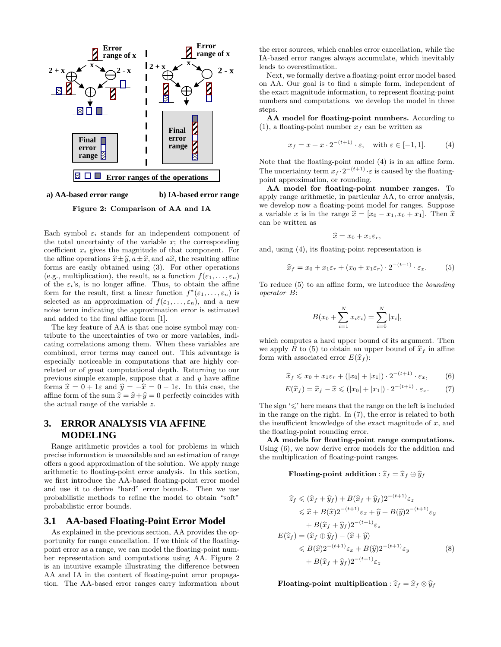

Figure 2: Comparison of AA and IA

Each symbol  $\varepsilon_i$  stands for an independent component of the total uncertainty of the variable  $x$ ; the corresponding coefficient  $x_i$  gives the magnitude of that component. For the affine operations  $\hat{x} \pm \hat{y}$ ,  $a \pm \hat{x}$ , and  $a\hat{x}$ , the resulting affine forms are easily obtained using (3). For other operations (e.g., multiplication), the result, as a function  $f(\varepsilon_1, \ldots, \varepsilon_n)$ of the  $\varepsilon_i$ 's, is no longer affine. Thus, to obtain the affine form for the result, first a linear function  $f^*(\varepsilon_1,\ldots,\varepsilon_n)$  is selected as an approximation of  $f(\varepsilon_1, \ldots, \varepsilon_n)$ , and a new noise term indicating the approximation error is estimated and added to the final affine form [1].

The key feature of AA is that one noise symbol may contribute to the uncertainties of two or more variables, indicating correlations among them. When these variables are combined, error terms may cancel out. This advantage is especially noticeable in computations that are highly correlated or of great computational depth. Returning to our previous simple example, suppose that  $x$  and  $y$  have affine forms  $\hat{x} = 0 + 1\varepsilon$  and  $\hat{y} = -\hat{x} = 0 - 1\varepsilon$ . In this case, the affine form of the sum  $\hat{z} = \hat{x} + \hat{y} = 0$  perfectly coincides with the actual range of the variable z.

# **3. ERROR ANALYSIS VIA AFFINE MODELING**

Range arithmetic provides a tool for problems in which precise information is unavailable and an estimation of range offers a good approximation of the solution. We apply range arithmetic to floating-point error analysis. In this section, we first introduce the AA-based floating-point error model and use it to derive "hard" error bounds. Then we use probabilistic methods to refine the model to obtain "soft" probabilistic error bounds.

## **3.1 AA-based Floating-Point Error Model**

As explained in the previous section, AA provides the opportunity for range cancellation. If we think of the floatingpoint error as a range, we can model the floating-point number representation and computations using AA. Figure 2 is an intuitive example illustrating the difference between AA and IA in the context of floating-point error propagation. The AA-based error ranges carry information about

the error sources, which enables error cancellation, while the IA-based error ranges always accumulate, which inevitably leads to overestimation.

Next, we formally derive a floating-point error model based on AA. Our goal is to find a simple form, independent of the exact magnitude information, to represent floating-point numbers and computations. we develop the model in three steps.

AA model for floating-point numbers. According to  $(1)$ , a floating-point number  $x_f$  can be written as

$$
x_f = x + x \cdot 2^{-(t+1)} \cdot \varepsilon, \quad \text{with } \varepsilon \in [-1, 1]. \tag{4}
$$

Note that the floating-point model (4) is in an affine form. The uncertainty term  $x_f \cdot 2^{-(t+1)} \cdot \varepsilon$  is caused by the floatingpoint approximation, or rounding.

AA model for floating-point number ranges. To apply range arithmetic, in particular AA, to error analysis, we develop now a floating-point model for ranges. Suppose a variable x is in the range  $\hat{x} = [x_0 - x_1, x_0 + x_1]$ . Then  $\hat{x}$ can be written as

$$
\widehat{x} = x_0 + x_1 \varepsilon_r,
$$

and, using (4), its floating-point representation is

$$
\widehat{x}_f = x_0 + x_1 \varepsilon_r + (x_0 + x_1 \varepsilon_r) \cdot 2^{-(t+1)} \cdot \varepsilon_x.
$$
 (5)

To reduce (5) to an affine form, we introduce the bounding operator B:

$$
B(x_0 + \sum_{i=1}^N x_i \varepsilon_i) = \sum_{i=0}^N |x_i|,
$$

which computes a hard upper bound of its argument. Then we apply B to (5) to obtain an upper bound of  $\hat{x}_f$  in affine form with associated error  $E(\hat{x}_f)$ :

$$
\widehat{x}_f \leq x_0 + x_1 \varepsilon_r + (|x_0| + |x_1|) \cdot 2^{-(t+1)} \cdot \varepsilon_x, \qquad (6)
$$

$$
E(\widehat{x}_f) = \widehat{x}_f - \widehat{x} \leq (|x_0| + |x_1|) \cdot 2^{-(t+1)} \cdot \varepsilon_x. \tag{7}
$$

The sign  $\leq$ ' here means that the range on the left is included in the range on the right. In (7), the error is related to both the insufficient knowledge of the exact magnitude of  $x$ , and the floating-point rounding error.

AA models for floating-point range computations. Using (6), we now derive error models for the addition and the multiplication of floating-point ranges.

#### Floating-point addition :  $\widehat{z}_f = \widehat{x}_f \oplus \widehat{y}_f$

$$
\widehat{z}_f \leq (\widehat{x}_f + \widehat{y}_f) + B(\widehat{x}_f + \widehat{y}_f) 2^{-(t+1)} \varepsilon_z
$$
  
\n
$$
\leq \widehat{x} + B(\widehat{x}) 2^{-(t+1)} \varepsilon_x + \widehat{y} + B(\widehat{y}) 2^{-(t+1)} \varepsilon_y
$$
  
\n
$$
+ B(\widehat{x}_f + \widehat{y}_f) 2^{-(t+1)} \varepsilon_z
$$
  
\n
$$
E(\widehat{z}_f) = (\widehat{x}_f \oplus \widehat{y}_f) - (\widehat{x} + \widehat{y})
$$
  
\n
$$
\leq B(\widehat{x}) 2^{-(t+1)} \varepsilon_x + B(\widehat{y}) 2^{-(t+1)} \varepsilon_y
$$
  
\n
$$
+ B(\widehat{x}_f + \widehat{y}_f) 2^{-(t+1)} \varepsilon_z
$$
\n(8)

Floating-point multiplication :  $\widehat{z}_f = \widehat{x}_f \otimes \widehat{y}_f$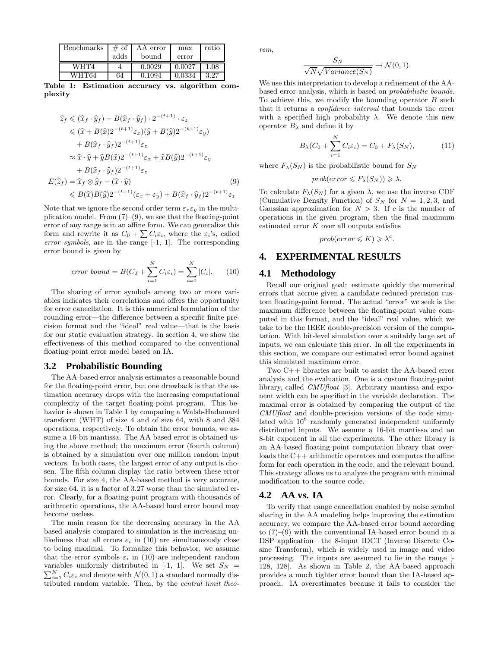| Benchmarks | $\#$ of<br>adds | AA error<br>bound | max<br>error | ratio    |
|------------|-----------------|-------------------|--------------|----------|
| WHT4       |                 | 0.0029            | 0.0027       | $1.08\,$ |
| WHT64      | 64              | 0.1094            | 0.0334       | 3.27     |

Table 1: Estimation accuracy vs. algorithm complexity

$$
\hat{z}_f \leq (\hat{x}_f \cdot \hat{y}_f) + B(\hat{x}_f \cdot \hat{y}_f) \cdot 2^{-(t+1)} \cdot \varepsilon_z
$$
  
\n
$$
\leq (\hat{x} + B(\hat{x})2^{-(t+1)} \varepsilon_x)(\hat{y} + B(\hat{y})2^{-(t+1)} \varepsilon_y)
$$
  
\n
$$
+ B(\hat{x}_f \cdot \hat{y}_f)2^{-(t+1)} \varepsilon_z
$$
  
\n
$$
\approx \hat{x} \cdot \hat{y} + \hat{y}B(\hat{x})2^{-(t+1)} \varepsilon_x + \hat{x}B(\hat{y})2^{-(t+1)} \varepsilon_y
$$
  
\n
$$
+ B(\hat{x}_f \cdot \hat{y}_f)2^{-(t+1)} \varepsilon_z
$$
  
\n
$$
E(\hat{z}_f) = \hat{x}_f \otimes \hat{y}_f - (\hat{x} \cdot \hat{y})
$$
  
\n
$$
\leq B(\hat{x})B(\hat{y})2^{-(t+1)} (\varepsilon_x + \varepsilon_y) + B(\hat{x}_f \cdot \hat{y}_f)2^{-(t+1)} \varepsilon_z
$$

Note that we ignore the second order term  $\varepsilon_x \varepsilon_y$  in the multiplication model. From  $(7)-(9)$ , we see that the floating-point error of any range is in an affine form. We can generalize this form and rewrite it as  $C_0 + \sum C_i \varepsilon_i$ , where the  $\varepsilon_i$ 's, called error symbols, are in the range  $[-1, 1]$ . The corresponding error bound is given by

error bound = 
$$
B(C_0 + \sum_{i=1}^{N} C_i \varepsilon_i) = \sum_{i=0}^{N} |C_i|
$$
. (10)

The sharing of error symbols among two or more variables indicates their correlations and offers the opportunity for error cancellation. It is this numerical formulation of the rounding error—the difference between a specific finite precision format and the "ideal" real value—that is the basis for our static evaluation strategy. In section 4, we show the effectiveness of this method compared to the conventional floating-point error model based on IA.

#### **3.2 Probabilistic Bounding**

The AA-based error analysis estimates a reasonable bound for the floating-point error, but one drawback is that the estimation accuracy drops with the increasing computational complexity of the target floating-point program. This behavior is shown in Table 1 by comparing a Walsh-Hadamard transform (WHT) of size 4 and of size 64, with 8 and 384 operations, respectively. To obtain the error bounds, we assume a 16-bit mantissa. The AA based error is obtained using the above method; the maximum error (fourth column) is obtained by a simulation over one million random input vectors. In both cases, the largest error of any output is chosen. The fifth column display the ratio between these error bounds. For size 4, the AA-based method is very accurate, for size 64, it is a factor of 3.27 worse than the simulated error. Clearly, for a floating-point program with thousands of arithmetic operations, the AA-based hard error bound may become useless.

The main reason for the decreasing accuracy in the AA based analysis compared to simulation is the increasing unlikeliness that all errors  $\varepsilon_i$  in (10) are simultaneously close to being maximal. To formalize this behavior, we assume that the error symbols  $\varepsilon_i$  in (10) are independent random variables uniformly distributed in [-1, 1]. We set  $S_N =$  $\sum_{i=1}^{N} C_i \varepsilon_i$  and denote with  $\mathcal{N}(0, 1)$  a standard normally distributed random variable. Then, by the central limit theorem,

$$
\frac{S_N}{\sqrt{N}\sqrt{Variance(S_N)}} \to \mathcal{N}(0, 1).
$$

We use this interpretation to develop a refinement of the AAbased error analysis, which is based on probabilistic bounds. To achieve this, we modify the bounding operator  $B$  such that it returns a confidence interval that bounds the error with a specified high probability  $\lambda$ . We denote this new operator  $B_{\lambda}$  and define it by

$$
B_{\lambda}(C_0 + \sum_{i=1}^{N} C_i \varepsilon_i) = C_0 + F_{\lambda}(S_N), \qquad (11)
$$

where  $F_{\lambda}(S_N)$  is the probabilistic bound for  $S_N$ 

$$
prob(error \leq F_{\lambda}(S_N)) \geq \lambda.
$$

To calculate  $F_{\lambda}(S_N)$  for a given  $\lambda$ , we use the inverse CDF (Cumulative Density Function) of  $S_N$  for  $N = 1, 2, 3$ , and Gaussian approximation for  $N > 3$ . If c is the number of operations in the given program, then the final maximum estimated error  $K$  over all outputs satisfies

$$
prob(error \leqslant K) \geqslant \lambda^c.
$$

## **4. EXPERIMENTAL RESULTS**

## **4.1 Methodology**

Recall our original goal: estimate quickly the numerical errors that accrue given a candidate reduced-precision custom floating-point format. The actual "error" we seek is the maximum difference between the floating-point value computed in this format, and the "ideal" real value, which we take to be the IEEE double-precision version of the computation. With bit-level simulation over a suitably large set of inputs, we can calculate this error. In all the experiments in this section, we compare our estimated error bound against this simulated maximum error.

Two C++ libraries are built to assist the AA-based error analysis and the evaluation. One is a custom floating-point library, called CMUfloat [3]. Arbitrary mantissa and exponent width can be specified in the variable declaration. The maximal error is obtained by comparing the output of the CMUfloat and double-precision versions of the code simulated with  $10^6$  randomly generated independent uniformly distributed inputs. We assume a 16-bit mantissa and an 8-bit exponent in all the experiments. The other library is an AA-based floating-point computation library that overloads the C++ arithmetic operators and computes the affine form for each operation in the code, and the relevant bound. This strategy allows us to analyze the program with minimal modification to the source code.

#### **4.2 AA vs. IA**

To verify that range cancellation enabled by noise symbol sharing in the AA modeling helps improving the estimation accuracy, we compare the AA-based error bound according to  $(7)-(9)$  with the conventional IA-based error bound in a DSP application—the 8-input IDCT (Inverse Discrete Cosine Transform), which is widely used in image and video processing. The inputs are assumed to lie in the range [- 128, 128]. As shown in Table 2, the AA-based approach provides a much tighter error bound than the IA-based approach. IA overestimates because it fails to consider the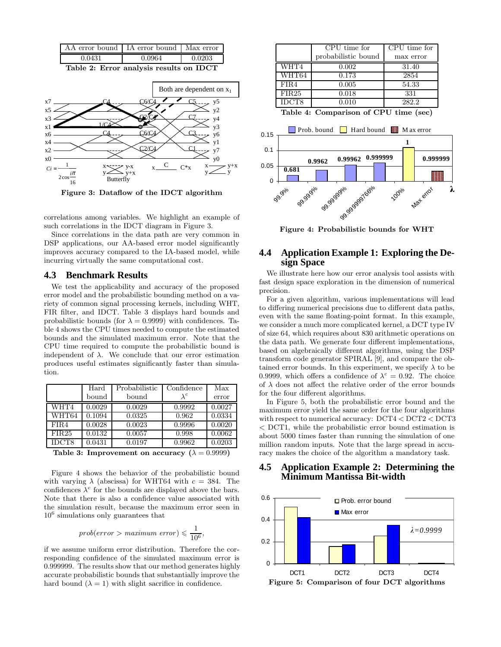|        | AA error bound   IA error bound   Max error |        |
|--------|---------------------------------------------|--------|
| 0.0431 | 0.0964                                      | 0.0203 |
|        |                                             |        |

Table 2: Error analysis results on IDCT



Figure 3: Dataflow of the IDCT algorithm

correlations among variables. We highlight an example of such correlations in the IDCT diagram in Figure 3.

Since correlations in the data path are very common in DSP applications, our AA-based error model significantly improves accuracy compared to the IA-based model, while incurring virtually the same computational cost.

#### **4.3 Benchmark Results**

We test the applicability and accuracy of the proposed error model and the probabilistic bounding method on a variety of common signal processing kernels, including WHT, FIR filter, and IDCT. Table 3 displays hard bounds and probabilistic bounds (for  $\lambda = 0.9999$ ) with confidences. Table 4 shows the CPU times needed to compute the estimated bounds and the simulated maximum error. Note that the CPU time required to compute the probabilistic bound is independent of  $\lambda$ . We conclude that our error estimation produces useful estimates significantly faster than simulation.

|              | Hard   | Probabilistic | Confidence    | Max    |
|--------------|--------|---------------|---------------|--------|
|              | bound  | bound         | $\lambda^{c}$ | error  |
| WHT4         | 0.0029 | 0.0029        | 0.9992        | 0.0027 |
| WHT64        | 0.1094 | 0.0325        | 0.962         | 0.0334 |
| FIR4         | 0.0028 | 0.0023        | 0.9996        | 0.0020 |
| FIR25        | 0.0132 | 0.0057        | 0.998         | 0.0062 |
| <b>IDCT8</b> | 0.0431 | 0.0197        | 0.9962        | 0.0203 |

Table 3: Improvement on accuracy ( $\lambda = 0.9999$ )

Figure 4 shows the behavior of the probabilistic bound with varying  $\lambda$  (abscissa) for WHT64 with  $c = 384$ . The confidences  $\lambda^c$  for the bounds are displayed above the bars. Note that there is also a confidence value associated with the simulation result, because the maximum error seen in 10<sup>6</sup> simulations only guarantees that

$$
prob(error > maximum\ error) \leqslant \frac{1}{10^6},
$$

if we assume uniform error distribution. Therefore the corresponding confidence of the simulated maximum error is 0.999999. The results show that our method generates highly accurate probabilistic bounds that substantially improve the hard bound  $(\lambda = 1)$  with slight sacrifice in confidence.

|                   | CPU time for<br>probabilistic bound | CPU time for<br>max error |
|-------------------|-------------------------------------|---------------------------|
| WHT4              | 0.002                               | 31.40                     |
| WHT64             | 0.173                               | 2854                      |
| FIR4              | 0.005                               | 54.33                     |
| FIR <sub>25</sub> | 0.018                               | 331                       |
| <b>IDCT8</b>      | 0.010                               | 282.2                     |

Table 4: Comparison of CPU time (sec)



Figure 4: Probabilistic bounds for WHT

## **4.4 Application Example 1: Exploring the Design Space**

We illustrate here how our error analysis tool assists with fast design space exploration in the dimension of numerical precision.

For a given algorithm, various implementations will lead to differing numerical precisions due to different data paths, even with the same floating-point format. In this example, we consider a much more complicated kernel, a DCT type IV of size 64, which requires about 830 arithmetic operations on the data path. We generate four different implementations, based on algebraically different algorithms, using the DSP transform code generator SPIRAL [9], and compare the obtained error bounds. In this experiment, we specify  $\lambda$  to be 0.9999, which offers a confidence of  $\lambda^c = 0.92$ . The choice of  $\lambda$  does not affect the relative order of the error bounds for the four different algorithms.

In Figure 5, both the probabilistic error bound and the maximum error yield the same order for the four algorithms with respect to numerical accuracy: DCT4 < DCT2 < DCT3 < DCT1, while the probabilistic error bound estimation is about 5000 times faster than running the simulation of one million random inputs. Note that the large spread in accuracy makes the choice of the algorithm a mandatory task.

## **4.5 Application Example 2: Determining the Minimum Mantissa Bit-width**